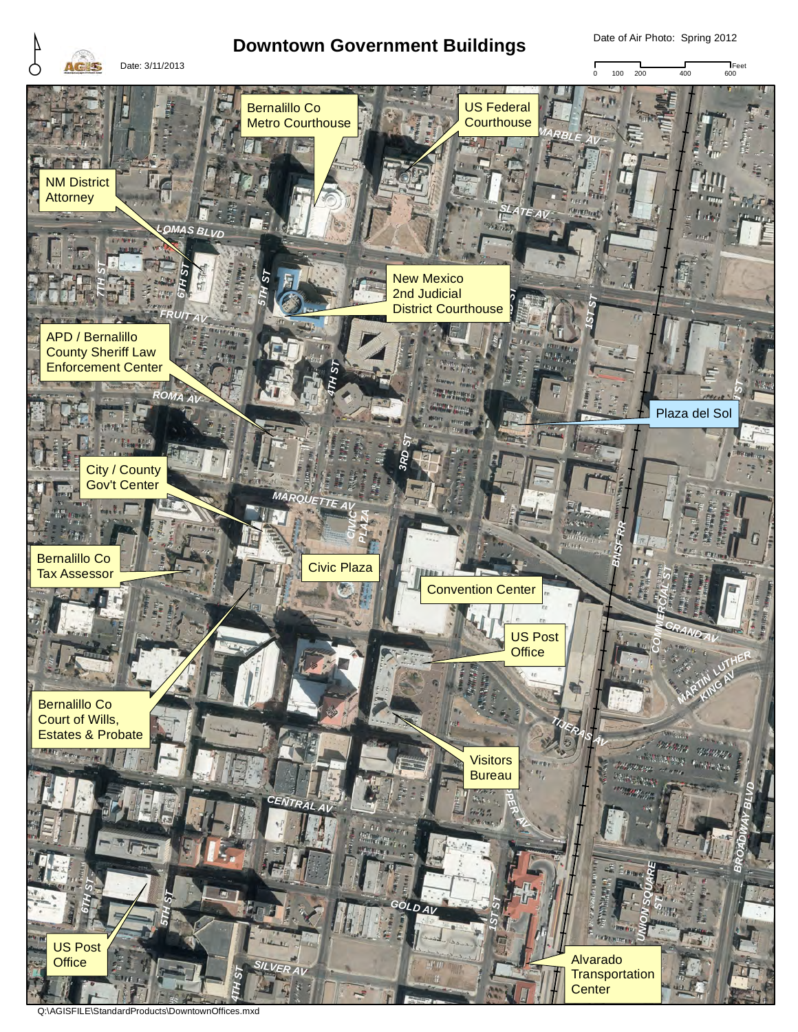

Date of Air Photo: Spring 2012



Q:\AGISFILE\StandardProducts\DowntownOffices.mxd